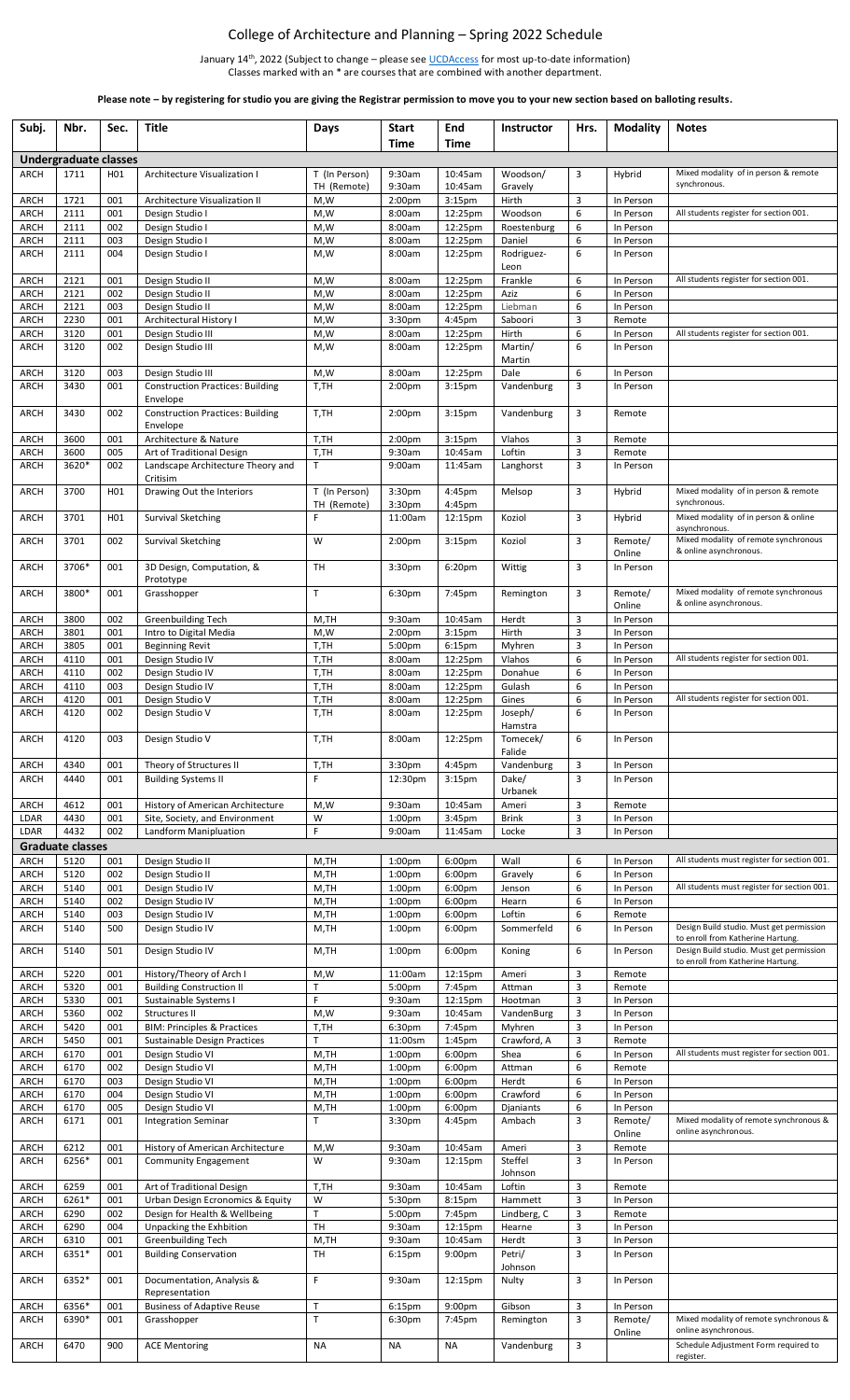## College of Architecture and Planning – Spring 2022 Schedule

January 14<sup>th</sup>, 2022 (Subject to change – please see <u>UCDAccess</u> for most up-to-date information) Classes marked with an \* are courses that are combined with another department.

**Please note – by registering for studio you are giving the Registrar permission to move you to your new section based on balloting results.**

| Subj.                      | Nbr.                         | Sec.       | <b>Title</b>                                        | Days               | <b>Start</b>                             | End                           | <b>Instructor</b>   | Hrs.   | <b>Modality</b>        | <b>Notes</b>                                                                  |
|----------------------------|------------------------------|------------|-----------------------------------------------------|--------------------|------------------------------------------|-------------------------------|---------------------|--------|------------------------|-------------------------------------------------------------------------------|
|                            |                              |            |                                                     |                    | Time                                     | Time                          |                     |        |                        |                                                                               |
|                            | <b>Undergraduate classes</b> |            |                                                     |                    |                                          |                               |                     |        |                        |                                                                               |
| <b>ARCH</b>                | 1711                         | H01        | Architecture Visualization I                        | T (In Person)      | 9:30am                                   | 10:45am                       | Woodson/            | 3      | Hybrid                 | Mixed modality of in person & remote<br>synchronous.                          |
| <b>ARCH</b>                | 1721                         | 001        | Architecture Visualization II                       | TH (Remote)<br>M,W | 9:30am<br>2:00 <sub>pm</sub>             | 10:45am<br>3:15 <sub>pm</sub> | Gravely<br>Hirth    | 3      | In Person              |                                                                               |
| <b>ARCH</b>                | 2111                         | 001        | Design Studio I                                     | M,W                | 8:00am                                   | 12:25pm                       | Woodson             | 6      | In Person              | All students register for section 001.                                        |
| ARCH                       | 2111                         | 002        | Design Studio I                                     | M,W                | 8:00am                                   | 12:25pm                       | Roestenburg         | 6      | In Person              |                                                                               |
| <b>ARCH</b>                | 2111                         | 003        | Design Studio I                                     | M,W                | 8:00am                                   | 12:25pm                       | Daniel              | 6      | In Person              |                                                                               |
| ARCH                       | 2111                         | 004        | Design Studio I                                     | M,W                | 8:00am                                   | 12:25pm                       | Rodriguez-          | 6      | In Person              |                                                                               |
|                            |                              |            |                                                     |                    |                                          |                               | Leon                |        |                        |                                                                               |
| <b>ARCH</b>                | 2121                         | 001        | Design Studio II                                    | M,W                | 8:00am                                   | 12:25pm                       | Frankle             | 6      | In Person              | All students register for section 001.                                        |
| <b>ARCH</b><br><b>ARCH</b> | 2121<br>2121                 | 002<br>003 | Design Studio II                                    | M,W                | 8:00am<br>8:00am                         | 12:25pm                       | Aziz                | 6<br>6 | In Person<br>In Person |                                                                               |
| <b>ARCH</b>                | 2230                         | 001        | Design Studio II<br>Architectural History I         | M,W<br>M,W         | 3:30pm                                   | 12:25pm<br>4:45pm             | Liebman<br>Saboori  | 3      | Remote                 |                                                                               |
| <b>ARCH</b>                | 3120                         | 001        | Design Studio III                                   | M,W                | 8:00am                                   | 12:25pm                       | Hirth               | 6      | In Person              | All students register for section 001.                                        |
| <b>ARCH</b>                | 3120                         | 002        | Design Studio III                                   | M,W                | 8:00am                                   | 12:25pm                       | Martin/             | 6      | In Person              |                                                                               |
|                            |                              |            |                                                     |                    |                                          |                               | Martin              |        |                        |                                                                               |
| <b>ARCH</b>                | 3120                         | 003        | Design Studio III                                   | M,W                | 8:00am                                   | 12:25pm                       | Dale                | 6      | In Person              |                                                                               |
| ARCH                       | 3430                         | 001        | <b>Construction Practices: Building</b>             | T,TH               | 2:00 <sub>pm</sub>                       | 3:15 <sub>pm</sub>            | Vandenburg          | 3      | In Person              |                                                                               |
|                            |                              |            | Envelope                                            |                    |                                          |                               |                     |        |                        |                                                                               |
| ARCH                       | 3430                         | 002        | <b>Construction Practices: Building</b><br>Envelope | T,TH               | 2:00 <sub>pm</sub>                       | 3:15 <sub>pm</sub>            | Vandenburg          | 3      | Remote                 |                                                                               |
| <b>ARCH</b>                | 3600                         | 001        | Architecture & Nature                               | T,TH               | 2:00 <sub>pm</sub>                       | 3:15 <sub>pm</sub>            | Vlahos              | 3      | Remote                 |                                                                               |
| <b>ARCH</b>                | 3600                         | 005        | Art of Traditional Design                           | T,TH               | 9:30am                                   | 10:45am                       | Loftin              | 3      | Remote                 |                                                                               |
| <b>ARCH</b>                | 3620*                        | 002        | Landscape Architecture Theory and                   | T                  | 9:00am                                   | 11:45am                       | Langhorst           | 3      | In Person              |                                                                               |
|                            |                              |            | Critisim                                            |                    |                                          |                               |                     |        |                        |                                                                               |
| <b>ARCH</b>                | 3700                         | H01        | Drawing Out the Interiors                           | T (In Person)      | 3:30pm                                   | 4:45pm                        | Melsop              | 3      | Hybrid                 | Mixed modality of in person & remote<br>synchronous.                          |
| <b>ARCH</b>                | 3701                         | H01        | Survival Sketching                                  | TH (Remote)<br>F   | 3:30pm<br>11:00am                        | 4:45pm<br>12:15pm             | Koziol              | 3      | Hybrid                 | Mixed modality of in person & online                                          |
|                            |                              |            |                                                     |                    |                                          |                               |                     |        |                        | asynchronous.                                                                 |
| <b>ARCH</b>                | 3701                         | 002        | <b>Survival Sketching</b>                           | W                  | 2:00 <sub>pm</sub>                       | 3:15 <sub>pm</sub>            | Koziol              | 3      | Remote/                | Mixed modality of remote synchronous                                          |
|                            |                              |            |                                                     |                    |                                          |                               |                     |        | Online                 | & online asynchronous.                                                        |
| <b>ARCH</b>                | 3706*                        | 001        | 3D Design, Computation, &                           | TH                 | 3:30pm                                   | 6:20 <sub>pm</sub>            | Wittig              | 3      | In Person              |                                                                               |
|                            |                              |            | Prototype                                           | T                  |                                          |                               |                     |        |                        |                                                                               |
| <b>ARCH</b>                | 3800*                        | 001        | Grasshopper                                         |                    | 6:30pm                                   | 7:45pm                        | Remington           | 3      | Remote/<br>Online      | Mixed modality of remote synchronous<br>& online asynchronous.                |
| <b>ARCH</b>                | 3800                         | 002        | Greenbuilding Tech                                  | M,TH               | 9:30am                                   | 10:45am                       | Herdt               | 3      | In Person              |                                                                               |
| <b>ARCH</b>                | 3801                         | 001        | Intro to Digital Media                              | M,W                | 2:00 <sub>pm</sub>                       | 3:15 <sub>pm</sub>            | Hirth               | 3      | In Person              |                                                                               |
| ARCH                       | 3805                         | 001        | <b>Beginning Revit</b>                              | T,TH               | 5:00pm                                   | 6:15 <sub>pm</sub>            | Myhren              | 3      | In Person              |                                                                               |
| <b>ARCH</b>                | 4110                         | 001        | Design Studio IV                                    | T,TH               | 8:00am                                   | 12:25pm                       | Vlahos              | 6      | In Person              | All students register for section 001.                                        |
| <b>ARCH</b>                | 4110                         | 002        | Design Studio IV                                    | T,TH               | 8:00am                                   | 12:25pm                       | Donahue             | 6      | In Person              |                                                                               |
| <b>ARCH</b>                | 4110                         | 003        | Design Studio IV                                    | T,TH               | 8:00am                                   | 12:25pm                       | Gulash              | 6      | In Person              |                                                                               |
| <b>ARCH</b>                | 4120                         | 001        | Design Studio V                                     | T,TH               | 8:00am                                   | 12:25pm                       | Gines               | 6      | In Person              | All students register for section 001.                                        |
| <b>ARCH</b>                | 4120                         | 002        | Design Studio V                                     | T,TH               | 8:00am                                   | 12:25pm                       | Joseph/             | 6      | In Person              |                                                                               |
| <b>ARCH</b>                | 4120                         | 003        |                                                     | T,TH               | 8:00am                                   |                               | Hamstra<br>Tomecek/ | 6      | In Person              |                                                                               |
|                            |                              |            | Design Studio V                                     |                    |                                          | 12:25pm                       | Falide              |        |                        |                                                                               |
| <b>ARCH</b>                | 4340                         | 001        | Theory of Structures II                             | T,TH               | 3:30pm                                   | 4:45pm                        | Vandenburg          | 3      | In Person              |                                                                               |
| <b>ARCH</b>                | 4440                         | 001        | <b>Building Systems II</b>                          | F                  | 12:30pm                                  | 3:15 <sub>pm</sub>            | Dake/               | 3      | In Person              |                                                                               |
|                            |                              |            |                                                     |                    |                                          |                               | Urbanek             |        |                        |                                                                               |
| <b>ARCH</b>                | 4612                         | 001        | History of American Architecture                    | M,W                | 9:30am                                   | 10:45am                       | Ameri               | 3      | Remote                 |                                                                               |
| LDAR                       | 4430                         | 001        | Site, Society, and Environment                      | W                  | 1:00 <sub>pm</sub>                       | 3:45pm                        | <b>Brink</b>        | 3      | In Person              |                                                                               |
| LDAR                       | 4432                         | 002        | Landform Manipluation                               | F                  | 9:00am                                   | 11:45am                       | Locke               | 3      | In Person              |                                                                               |
|                            | <b>Graduate classes</b>      |            |                                                     |                    |                                          |                               |                     |        |                        |                                                                               |
| ARCH                       | 5120<br>5120                 | 001        | Design Studio II<br>Design Studio II                | M,TH               | 1:00pm                                   | 6:00 <sub>pm</sub>            | Wall                | 6<br>6 | In Person              | All students must register for section 001.                                   |
| <b>ARCH</b><br><b>ARCH</b> | 5140                         | 002<br>001 | Design Studio IV                                    | M,TH<br>M,TH       | 1:00 <sub>pm</sub><br>1:00 <sub>pm</sub> | 6:00pm<br>6:00 <sub>pm</sub>  | Gravely<br>Jenson   | 6      | In Person<br>In Person | All students must register for section 001.                                   |
| <b>ARCH</b>                | 5140                         | 002        | Design Studio IV                                    | M,TH               | 1:00pm                                   | 6:00pm                        | Hearn               | 6      | In Person              |                                                                               |
| <b>ARCH</b>                | 5140                         | 003        | Design Studio IV                                    | M,TH               | 1:00 <sub>pm</sub>                       | 6:00pm                        | Loftin              | 6      | Remote                 |                                                                               |
| ARCH                       | 5140                         | 500        | Design Studio IV                                    | M,TH               | 1:00 <sub>pm</sub>                       | 6:00pm                        | Sommerfeld          | 6      | In Person              | Design Build studio. Must get permission                                      |
|                            |                              |            |                                                     |                    |                                          |                               |                     |        |                        | to enroll from Katherine Hartung.                                             |
| <b>ARCH</b>                | 5140                         | 501        | Design Studio IV                                    | M,TH               | 1:00 <sub>pm</sub>                       | 6:00pm                        | Koning              | 6      | In Person              | Design Build studio. Must get permission<br>to enroll from Katherine Hartung. |
| ARCH                       | 5220                         | 001        | History/Theory of Arch I                            | M,W                | 11:00am                                  | 12:15pm                       | Ameri               | 3      | Remote                 |                                                                               |
| <b>ARCH</b>                | 5320                         | 001        | <b>Building Construction II</b>                     | $\mathsf{T}$       | 5:00pm                                   | 7:45pm                        | Attman              | 3      | Remote                 |                                                                               |
| <b>ARCH</b>                | 5330                         | 001        | Sustainable Systems I                               | $\mathsf{F}$       | 9:30am                                   | 12:15pm                       | Hootman             | 3      | In Person              |                                                                               |
| <b>ARCH</b>                | 5360                         | 002        | Structures II                                       | M,W                | 9:30am                                   | 10:45am                       | VandenBurg          | 3      | In Person              |                                                                               |
| <b>ARCH</b>                | 5420                         | 001        | <b>BIM: Principles &amp; Practices</b>              | T,TH               | 6:30pm                                   | 7:45pm                        | Myhren              | 3      | In Person              |                                                                               |
| <b>ARCH</b>                | 5450                         | 001        | Sustainable Design Practices                        | T                  | 11:00sm                                  | 1:45pm                        | Crawford, A         | 3      | Remote                 |                                                                               |
| ARCH<br><b>ARCH</b>        | 6170<br>6170                 | 001<br>002 | Design Studio VI<br>Design Studio VI                | M,TH<br>M,TH       | 1:00 <sub>pm</sub><br>1:00pm             | 6:00pm<br>6:00pm              | Shea<br>Attman      | 6<br>6 | In Person<br>Remote    | All students must register for section 001.                                   |
| <b>ARCH</b>                | 6170                         | 003        | Design Studio VI                                    | M,TH               | 1:00 <sub>pm</sub>                       | 6:00pm                        | Herdt               | 6      | In Person              |                                                                               |
| ARCH                       | 6170                         | 004        | Design Studio VI                                    | M,TH               | 1:00 <sub>pm</sub>                       | 6:00pm                        | Crawford            | 6      | In Person              |                                                                               |
| <b>ARCH</b>                | 6170                         | 005        | Design Studio VI                                    | M,TH               | 1:00 <sub>pm</sub>                       | 6:00 <sub>pm</sub>            | Djaniants           | 6      | In Person              |                                                                               |
| <b>ARCH</b>                | 6171                         | 001        | <b>Integration Seminar</b>                          | $\mathsf{T}$       | 3:30 <sub>pm</sub>                       | 4:45pm                        | Ambach              | 3      | Remote/                | Mixed modality of remote synchronous &                                        |
|                            |                              |            |                                                     |                    |                                          |                               |                     |        | Online                 | online asynchronous.                                                          |
| <b>ARCH</b>                | 6212                         | 001        | History of American Architecture                    | M,W                | 9:30am                                   | 10:45am                       | Ameri               | 3      | Remote                 |                                                                               |
| <b>ARCH</b>                | 6256*                        | 001        | Community Engagement                                | W                  | 9:30am                                   | 12:15pm                       | Steffel             | 3      | In Person              |                                                                               |
| <b>ARCH</b>                | 6259                         | 001        | Art of Traditional Design                           | T,TH               | 9:30am                                   | 10:45am                       | Johnson<br>Loftin   | 3      | Remote                 |                                                                               |
| ARCH                       | 6261*                        | 001        | Urban Design Ecronomics & Equity                    | W                  | 5:30pm                                   | 8:15pm                        | Hammett             | 3      | In Person              |                                                                               |
| <b>ARCH</b>                | 6290                         | 002        | Design for Health & Wellbeing                       | $\mathsf T$        | 5:00pm                                   | 7:45pm                        | Lindberg, C         | 3      | Remote                 |                                                                               |
| <b>ARCH</b>                | 6290                         | 004        | Unpacking the Exhbition                             | <b>TH</b>          | 9:30am                                   | 12:15pm                       | Hearne              | 3      | In Person              |                                                                               |
| ARCH                       | 6310                         | 001        | <b>Greenbuilding Tech</b>                           | M,TH               | 9:30am                                   | 10:45am                       | Herdt               | 3      | In Person              |                                                                               |
| <b>ARCH</b>                | 6351*                        | 001        | <b>Building Conservation</b>                        | TH                 | 6:15pm                                   | 9:00pm                        | Petri/              | 3      | In Person              |                                                                               |
|                            |                              |            |                                                     |                    |                                          |                               | Johnson             |        |                        |                                                                               |
| <b>ARCH</b>                | 6352*                        | 001        | Documentation, Analysis &                           | $\mathsf F$        | 9:30am                                   | 12:15pm                       | Nulty               | 3      | In Person              |                                                                               |
| <b>ARCH</b>                | 6356*                        | 001        | Representation<br><b>Business of Adaptive Reuse</b> | $\mathsf{T}$       | 6:15pm                                   | 9:00 <sub>pm</sub>            | Gibson              | 3      | In Person              |                                                                               |
| <b>ARCH</b>                | 6390*                        | 001        | Grasshopper                                         | T                  | 6:30pm                                   | 7:45pm                        | Remington           | 3      | Remote/                | Mixed modality of remote synchronous &                                        |
|                            |                              |            |                                                     |                    |                                          |                               |                     |        | Online                 | online asynchronous.                                                          |
| <b>ARCH</b>                | 6470                         | 900        | <b>ACE Mentoring</b>                                | <b>NA</b>          | <b>NA</b>                                | NA                            | Vandenburg          | 3      |                        | Schedule Adjustment Form required to                                          |
|                            |                              |            |                                                     |                    |                                          |                               |                     |        |                        | register.                                                                     |